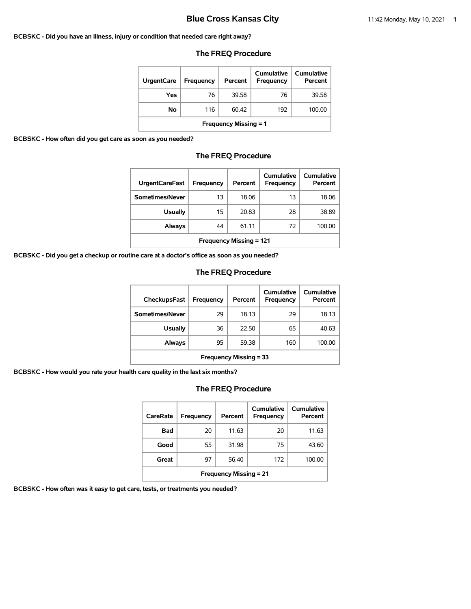#### **BCBSKC - Did you have an illness, injury or condition that needed care right away?**

## **The FREQ Procedure**

| <b>UrgentCare</b>            | Frequency | Percent | Cumulative<br>Frequency | Cumulative<br>Percent |  |  |
|------------------------------|-----------|---------|-------------------------|-----------------------|--|--|
| Yes                          | 76        | 39.58   | 76                      | 39.58                 |  |  |
| Νo                           | 116       | 60.42   | 192                     | 100.00                |  |  |
| <b>Frequency Missing = 1</b> |           |         |                         |                       |  |  |

**BCBSKC - How often did you get care as soon as you needed?**

## **The FREQ Procedure**

| <b>UrgentCareFast</b>          | Frequency | Percent | Cumulative<br>Frequency | Cumulative<br>Percent |  |  |
|--------------------------------|-----------|---------|-------------------------|-----------------------|--|--|
| Sometimes/Never                | 13        | 18.06   | 13                      | 18.06                 |  |  |
| <b>Usually</b>                 | 15        | 20.83   | 28                      | 38.89                 |  |  |
| <b>Always</b>                  | 44        | 61.11   | 72                      | 100.00                |  |  |
| <b>Frequency Missing = 121</b> |           |         |                         |                       |  |  |

**BCBSKC - Did you get a checkup or routine care at a doctor's office as soon as you needed?**

# **The FREQ Procedure**

| <b>CheckupsFast</b>           | Frequency | Percent | Cumulative<br>Frequency | Cumulative<br>Percent |  |
|-------------------------------|-----------|---------|-------------------------|-----------------------|--|
| Sometimes/Never               | 29        | 18.13   | 29                      | 18.13                 |  |
| <b>Usually</b>                | 36        | 22.50   | 65                      | 40.63                 |  |
| Always                        | 95        | 59.38   | 160                     | 100.00                |  |
| <b>Frequency Missing = 33</b> |           |         |                         |                       |  |

**BCBSKC - How would you rate your health care quality in the last six months?**

# **The FREQ Procedure**

| CareRate                      | Frequency | Percent | Cumulative<br>Frequency | Cumulative<br>Percent |  |  |  |
|-------------------------------|-----------|---------|-------------------------|-----------------------|--|--|--|
| Bad                           | 20        | 11.63   | 20                      | 11.63                 |  |  |  |
| Good                          | 55        | 31.98   | 75                      | 43.60                 |  |  |  |
| Great                         | 97        | 56.40   | 172                     | 100.00                |  |  |  |
| <b>Frequency Missing = 21</b> |           |         |                         |                       |  |  |  |

**BCBSKC - How often was it easy to get care, tests, or treatments you needed?**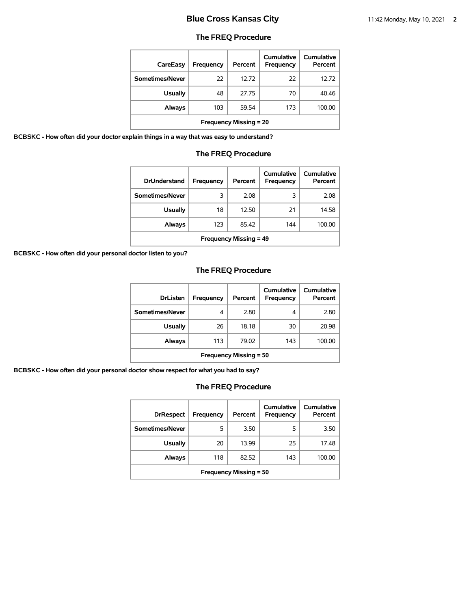# **The FREQ Procedure**

| CareEasy                      | Frequency | Percent | Cumulative<br>Frequency | Cumulative<br>Percent |  |
|-------------------------------|-----------|---------|-------------------------|-----------------------|--|
| Sometimes/Never               | 22        | 12.72   | 22                      | 12.72                 |  |
| <b>Usually</b>                | 48        | 27.75   | 70                      | 40.46                 |  |
| Always                        | 103       | 59.54   | 173                     | 100.00                |  |
| <b>Frequency Missing = 20</b> |           |         |                         |                       |  |

**BCBSKC - How often did your doctor explain things in a way that was easy to understand?**

## **The FREQ Procedure**

| <b>DrUnderstand</b>           | Frequency | Percent | Cumulative<br>Frequency | Cumulative<br>Percent |  |
|-------------------------------|-----------|---------|-------------------------|-----------------------|--|
| Sometimes/Never               | 3         | 2.08    | 3                       | 2.08                  |  |
| <b>Usually</b>                | 18        | 12.50   | 21                      | 14.58                 |  |
| Always                        | 123       | 85.42   | 144                     | 100.00                |  |
| <b>Frequency Missing = 49</b> |           |         |                         |                       |  |

**BCBSKC - How often did your personal doctor listen to you?**

# **The FREQ Procedure**

| <b>DrListen</b>               | Frequency | Percent | Cumulative<br><b>Frequency</b> | Cumulative<br>Percent |  |
|-------------------------------|-----------|---------|--------------------------------|-----------------------|--|
| Sometimes/Never               | 4         | 2.80    | 4                              | 2.80                  |  |
| <b>Usually</b>                | 26        | 18.18   | 30                             | 20.98                 |  |
| Always                        | 113       | 79.02   | 143                            | 100.00                |  |
| <b>Frequency Missing = 50</b> |           |         |                                |                       |  |

**BCBSKC - How often did your personal doctor show respect for what you had to say?**

| <b>DrRespect</b>              | Frequency | Percent | Cumulative<br>Frequency | <b>Cumulative</b><br>Percent |  |
|-------------------------------|-----------|---------|-------------------------|------------------------------|--|
| Sometimes/Never               | 5         | 3.50    | 5                       | 3.50                         |  |
| <b>Usually</b>                | 20        | 13.99   | 25                      | 17.48                        |  |
| Always                        | 118       | 82.52   | 143                     | 100.00                       |  |
| <b>Frequency Missing = 50</b> |           |         |                         |                              |  |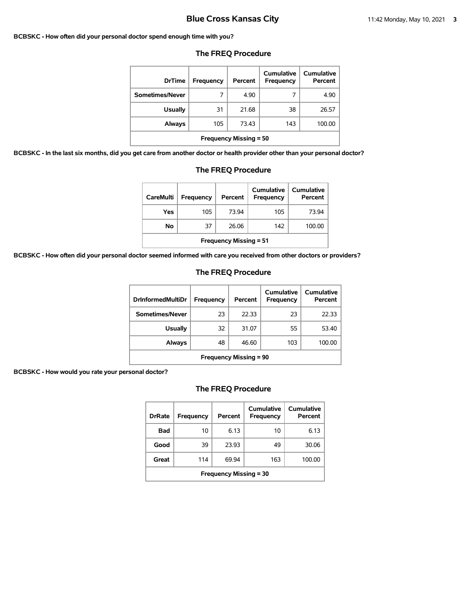#### **BCBSKC - How often did your personal doctor spend enough time with you?**

| <b>DrTime</b>                 | Frequency | Percent | Cumulative<br>Frequency | Cumulative<br>Percent |  |
|-------------------------------|-----------|---------|-------------------------|-----------------------|--|
| Sometimes/Never               | 7         | 4.90    | 7                       | 4.90                  |  |
| <b>Usually</b>                | 31        | 21.68   | 38                      | 26.57                 |  |
| Always                        | 105       | 73.43   | 143                     | 100.00                |  |
| <b>Frequency Missing = 50</b> |           |         |                         |                       |  |

## **The FREQ Procedure**

**BCBSKC - In the last six months, did you get care from another doctor or health provider other than your personal doctor?**

| <b>Usually</b>                                                       |  | 31  | 21.68 |  |                   | 38  | 26.5.      |  |
|----------------------------------------------------------------------|--|-----|-------|--|-------------------|-----|------------|--|
| Always                                                               |  | 105 | 73.43 |  |                   | 143 | 100.0      |  |
| <b>Frequency Missing = 50</b>                                        |  |     |       |  |                   |     |            |  |
| t care from another doctor or health provider other than your persor |  |     |       |  |                   |     |            |  |
| <b>The FREQ Procedure</b>                                            |  |     |       |  |                   |     |            |  |
|                                                                      |  |     |       |  | <b>Cumulative</b> |     | Cumulative |  |

| <b>CareMulti</b>              | Frequency | Percent | Cumulative<br>Frequency | Cumulative<br>Percent |  |  |  |
|-------------------------------|-----------|---------|-------------------------|-----------------------|--|--|--|
| Yes                           | 105       | 73.94   | 105                     | 73.94                 |  |  |  |
| No                            | 37        | 26.06   | 142                     | 100.00                |  |  |  |
| <b>Frequency Missing = 51</b> |           |         |                         |                       |  |  |  |

**BCBSKC - How often did your personal doctor seemed informed with care you received from other doctors or providers?**

## **The FREQ Procedure**

| <b>DrinformedMultiDr</b>      | <b>Frequency</b> | Percent | Cumulative<br>Frequency | Cumulative<br>Percent |  |
|-------------------------------|------------------|---------|-------------------------|-----------------------|--|
| Sometimes/Never               | 23               | 22.33   | 23                      | 22.33                 |  |
| Usually                       | 32               | 31.07   | 55                      | 53.40                 |  |
| Always                        | 48               | 46.60   | 103                     | 100.00                |  |
| <b>Frequency Missing = 90</b> |                  |         |                         |                       |  |

## **BCBSKC - How would you rate your personal doctor?**

| <b>DrRate</b>                 | Frequency | Percent | Cumulative<br>Frequency | Cumulative<br>Percent |  |
|-------------------------------|-----------|---------|-------------------------|-----------------------|--|
| Bad                           | 10        | 6.13    | 10                      | 6.13                  |  |
| Good                          | 39        | 23.93   | 49                      | 30.06                 |  |
| Great                         | 114       | 69.94   | 163                     | 100.00                |  |
| <b>Frequency Missing = 30</b> |           |         |                         |                       |  |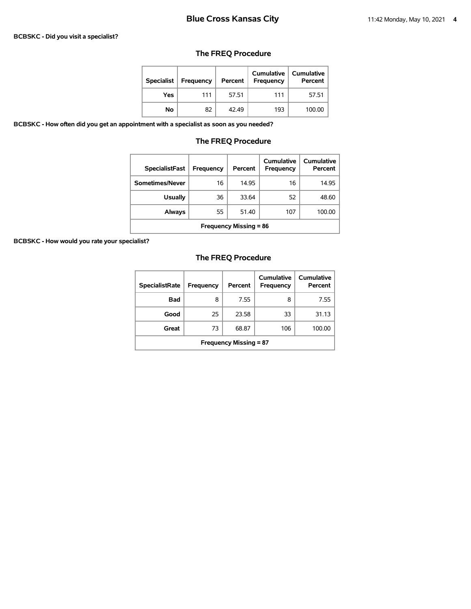#### **BCBSKC - Did you visit a specialist?**

# **The FREQ Procedure**

| <b>Specialist</b> | Frequency | Percent | Cumulative<br><b>Frequency</b> | <b>Cumulative</b><br>Percent |
|-------------------|-----------|---------|--------------------------------|------------------------------|
| Yes               | 111       | 57.51   | 111                            | 57.51                        |
| No                | 82        | 42.49   | 193                            | 100.00                       |

**BCBSKC - How often did you get an appointment with a specialist as soon as you needed?**

# **The FREQ Procedure**

| <b>SpecialistFast</b>         | Frequency | Percent | Cumulative<br>Frequency | Cumulative<br>Percent |  |
|-------------------------------|-----------|---------|-------------------------|-----------------------|--|
| Sometimes/Never               | 16        | 14.95   | 16                      | 14.95                 |  |
| <b>Usually</b>                | 36        | 33.64   | 52                      | 48.60                 |  |
| <b>Always</b>                 | 55        | 51.40   | 107                     | 100.00                |  |
| <b>Frequency Missing = 86</b> |           |         |                         |                       |  |

**BCBSKC - How would you rate your specialist?**

| <b>SpecialistRate</b>         | <b>Frequency</b> | Percent | Cumulative<br><b>Frequency</b> | Cumulative<br>Percent |  |
|-------------------------------|------------------|---------|--------------------------------|-----------------------|--|
| Bad                           | 8                | 7.55    | 8                              | 7.55                  |  |
| Good                          | 25               | 23.58   | 33                             | 31.13                 |  |
| Great                         | 73               | 68.87   | 106                            | 100.00                |  |
| <b>Frequency Missing = 87</b> |                  |         |                                |                       |  |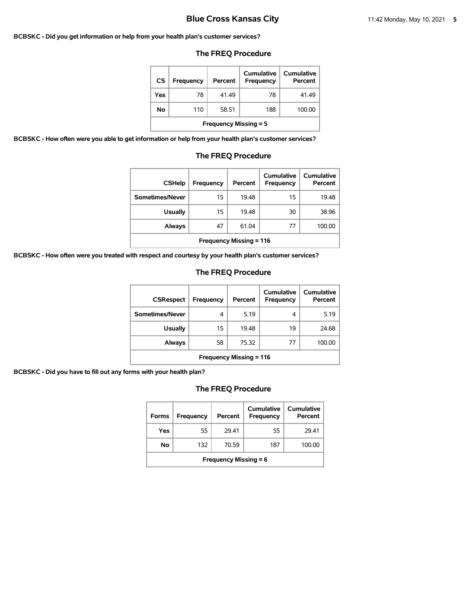#### **BCBSKC - Did you get information or help from your health plan's customer services?**

# **The FREQ Procedure**

| CS                           | Frequency | Percent | Cumulative<br>Frequency | Cumulative<br>Percent |  |  |
|------------------------------|-----------|---------|-------------------------|-----------------------|--|--|
| Yes                          | 78        | 41.49   | 78                      | 41.49                 |  |  |
| Νo                           | 110       | 58.51   | 188                     | 100.00                |  |  |
| <b>Frequency Missing = 5</b> |           |         |                         |                       |  |  |

**BCBSKC - How often were you able to get information or help from your health plan's customer services?**

## **The FREQ Procedure**

| <b>CSHelp</b>                  | Frequency | Percent | Cumulative<br><b>Frequency</b> | Cumulative<br>Percent |  |
|--------------------------------|-----------|---------|--------------------------------|-----------------------|--|
| Sometimes/Never                | 15        | 19.48   | 15                             | 19.48                 |  |
| <b>Usually</b>                 | 15        | 19.48   | 30                             | 38.96                 |  |
| Always                         | 47        | 61.04   | 77                             | 100.00                |  |
| <b>Frequency Missing = 116</b> |           |         |                                |                       |  |

**BCBSKC - How often were you treated with respect and courtesy by your health plan's customer services?**

## **The FREQ Procedure**

| <b>CSRespect</b>               | Frequency | Percent | <b>Cumulative</b><br>Frequency | <b>Cumulative</b><br>Percent |  |
|--------------------------------|-----------|---------|--------------------------------|------------------------------|--|
| Sometimes/Never                | 4         | 5.19    | 4                              | 5.19                         |  |
| <b>Usually</b>                 | 15        | 19.48   | 19                             | 24.68                        |  |
| Always                         | 58        | 75.32   | 77                             | 100.00                       |  |
| <b>Frequency Missing = 116</b> |           |         |                                |                              |  |

**BCBSKC - Did you have to fill out any forms with your health plan?**

| <b>Forms</b>                 | Frequency | Percent | Cumulative<br>Frequency | Cumulative<br>Percent |  |
|------------------------------|-----------|---------|-------------------------|-----------------------|--|
| Yes                          | 55        | 2941    | 55                      | 29.41                 |  |
| No                           | 132       | 70.59   | 187                     | 100.00                |  |
| <b>Frequency Missing = 6</b> |           |         |                         |                       |  |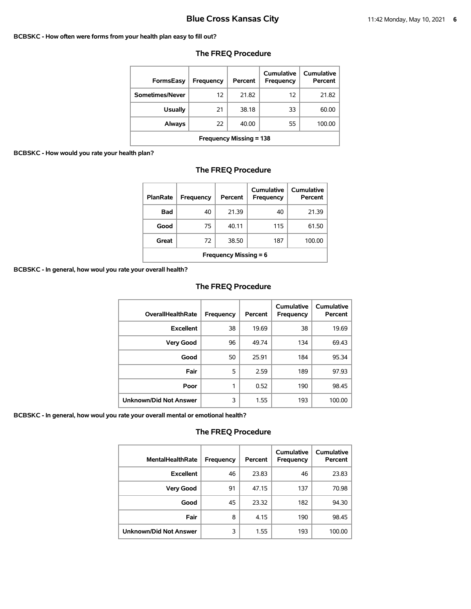#### **BCBSKC - How often were forms from your health plan easy to fill out?**

| <b>FormsEasy</b>               | Frequency | Percent | Cumulative<br>Frequency | Cumulative<br>Percent |  |  |
|--------------------------------|-----------|---------|-------------------------|-----------------------|--|--|
| Sometimes/Never                | 12        | 21.82   | 12                      | 21.82                 |  |  |
| <b>Usually</b>                 | 21        | 38.18   | 33                      | 60.00                 |  |  |
| Always                         | 22        | 40.00   | 55                      | 100.00                |  |  |
| <b>Frequency Missing = 138</b> |           |         |                         |                       |  |  |

# **The FREQ Procedure**

## **BCBSKC - How would you rate your health plan?**

| <b>PlanRate</b>              | Frequency | Percent | Cumulative<br><b>Frequency</b> | Cumulative<br>Percent |  |
|------------------------------|-----------|---------|--------------------------------|-----------------------|--|
| Bad                          | 40        | 21.39   | 40                             | 21.39                 |  |
| Good                         | 75        | 40.11   | 115                            | 61.50                 |  |
| Great                        | 72        | 38.50   | 187                            | 100.00                |  |
| <b>Frequency Missing = 6</b> |           |         |                                |                       |  |

**BCBSKC - In general, how woul you rate your overall health?**

# **The FREQ Procedure**

| <b>OverallHealthRate</b>      | Frequency | Percent | Cumulative<br><b>Frequency</b> | Cumulative<br>Percent |
|-------------------------------|-----------|---------|--------------------------------|-----------------------|
| <b>Excellent</b>              | 38        | 19.69   | 38                             | 19.69                 |
| <b>Very Good</b>              | 96        | 49.74   | 134                            | 69.43                 |
| Good                          | 50        | 25.91   | 184                            | 95.34                 |
| Fair                          | 5         | 2.59    | 189                            | 97.93                 |
| Poor                          | 1         | 0.52    | 190                            | 98.45                 |
| <b>Unknown/Did Not Answer</b> | 3         | 1.55    | 193                            | 100.00                |

**BCBSKC - In general, how woul you rate your overall mental or emotional health?**

| <b>MentalHealthRate</b> | <b>Frequency</b> | Percent | <b>Cumulative</b><br>Frequency | <b>Cumulative</b><br>Percent |
|-------------------------|------------------|---------|--------------------------------|------------------------------|
| <b>Excellent</b>        | 46               | 23.83   | 46                             | 23.83                        |
| <b>Very Good</b>        | 91               | 47.15   | 137                            | 70.98                        |
| Good                    | 45               | 23.32   | 182                            | 94.30                        |
| Fair                    | 8                | 4.15    | 190                            | 98.45                        |
| Unknown/Did Not Answer  | 3                | 1.55    | 193                            | 100.00                       |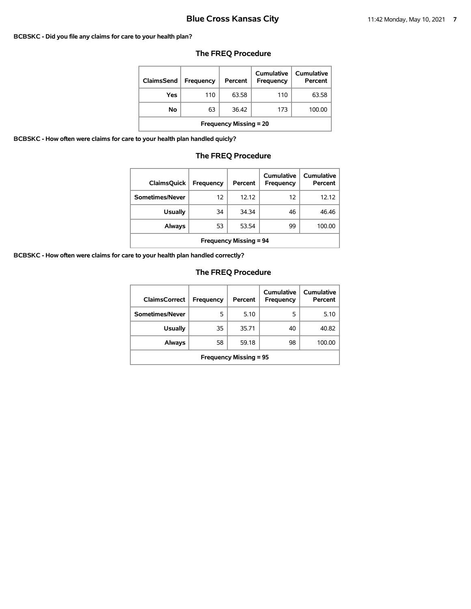#### **BCBSKC - Did you file any claims for care to your health plan?**

| ClaimsSend                    | <b>Frequency</b> | Percent | Cumulative<br>Frequency | Cumulative<br>Percent |  |
|-------------------------------|------------------|---------|-------------------------|-----------------------|--|
| Yes                           | 110              | 63.58   | 110                     | 63.58                 |  |
| No                            | 63               | 36.42   | 173                     | 100.00                |  |
| <b>Frequency Missing = 20</b> |                  |         |                         |                       |  |

# **The FREQ Procedure**

**BCBSKC - How often were claims for care to your health plan handled quicly?**

# **The FREQ Procedure**

| <b>ClaimsQuick</b>            | Frequency | Percent | Cumulative<br>Frequency | Cumulative<br>Percent |  |
|-------------------------------|-----------|---------|-------------------------|-----------------------|--|
| Sometimes/Never               | 12        | 12.12   | 12                      | 12.12                 |  |
| <b>Usually</b>                | 34        | 34.34   | 46                      | 46.46                 |  |
| <b>Always</b>                 | 53        | 53.54   | 99                      | 100.00                |  |
| <b>Frequency Missing = 94</b> |           |         |                         |                       |  |

**BCBSKC - How often were claims for care to your health plan handled correctly?**

| <b>ClaimsCorrect</b>          | Frequency | Percent | Cumulative<br>Frequency | Cumulative<br>Percent |  |
|-------------------------------|-----------|---------|-------------------------|-----------------------|--|
| Sometimes/Never               | 5         | 5.10    | 5                       | 5.10                  |  |
| <b>Usually</b>                | 35        | 35.71   | 40                      | 40.82                 |  |
| Always                        | 58        | 59.18   | 98                      | 100.00                |  |
| <b>Frequency Missing = 95</b> |           |         |                         |                       |  |